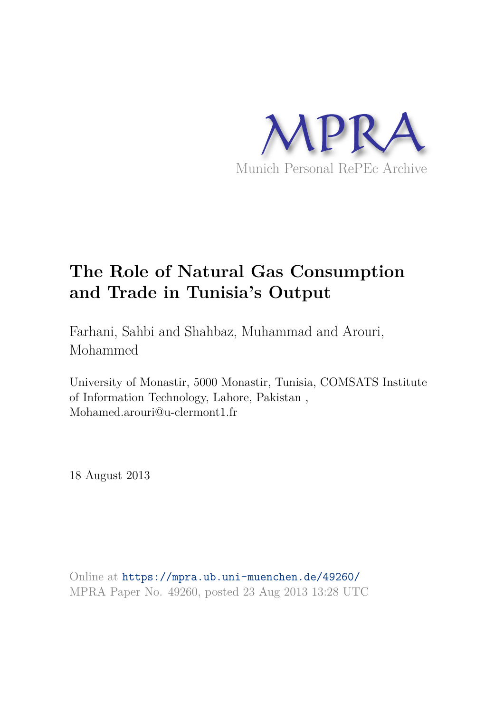

# **The Role of Natural Gas Consumption and Trade in Tunisia's Output**

Farhani, Sahbi and Shahbaz, Muhammad and Arouri, Mohammed

University of Monastir, 5000 Monastir, Tunisia, COMSATS Institute of Information Technology, Lahore, Pakistan , Mohamed.arouri@u-clermont1.fr

18 August 2013

Online at https://mpra.ub.uni-muenchen.de/49260/ MPRA Paper No. 49260, posted 23 Aug 2013 13:28 UTC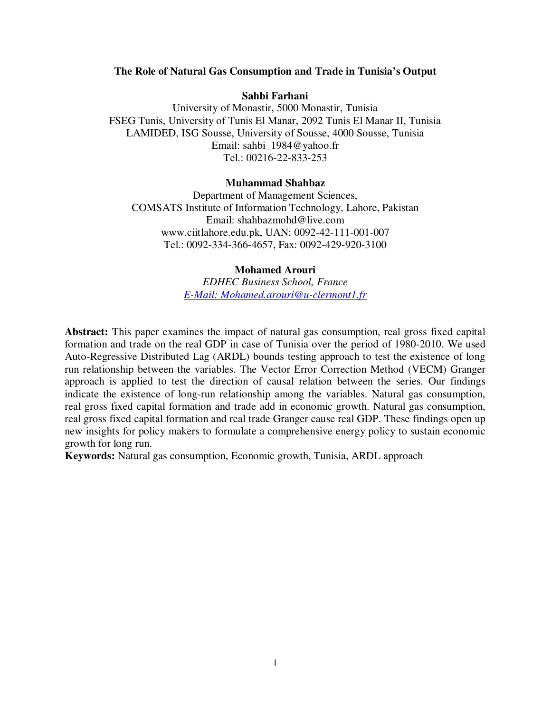# **The Role of Natural Gas Consumption and Trade in Tunisia's Output**

## **Sahbi Farhani**

University of Monastir, 5000 Monastir, Tunisia FSEG Tunis, University of Tunis El Manar, 2092 Tunis El Manar II, Tunisia LAMIDED, ISG Sousse, University of Sousse, 4000 Sousse, Tunisia Email: sahbi\_1984@yahoo.fr Tel.: 00216-22-833-253

### **Muhammad Shahbaz**

Department of Management Sciences, COMSATS Institute of Information Technology, Lahore, Pakistan Email: shahbazmohd@live.com www.ciitlahore.edu.pk, UAN: 0092-42-111-001-007 Tel.: 0092-334-366-4657, Fax: 0092-429-920-3100

# **Mohamed Arouri**

*EDHEC Business School, France E-Mail: Mohamed.arouri@u-clermont1.fr*

**Abstract:** This paper examines the impact of natural gas consumption, real gross fixed capital formation and trade on the real GDP in case of Tunisia over the period of 1980-2010. We used Auto-Regressive Distributed Lag (ARDL) bounds testing approach to test the existence of long run relationship between the variables. The Vector Error Correction Method (VECM) Granger approach is applied to test the direction of causal relation between the series. Our findings indicate the existence of long-run relationship among the variables. Natural gas consumption, real gross fixed capital formation and trade add in economic growth. Natural gas consumption, real gross fixed capital formation and real trade Granger cause real GDP. These findings open up new insights for policy makers to formulate a comprehensive energy policy to sustain economic growth for long run.

**Keywords:** Natural gas consumption, Economic growth, Tunisia, ARDL approach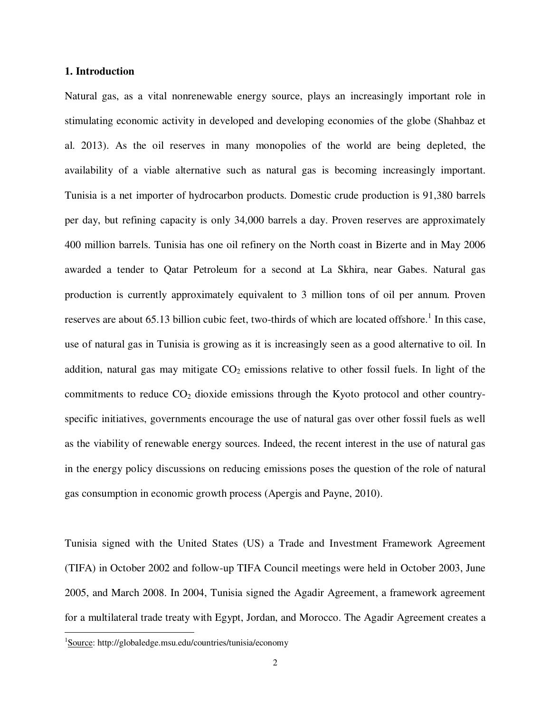# **1. Introduction**

Natural gas, as a vital nonrenewable energy source, plays an increasingly important role in stimulating economic activity in developed and developing economies of the globe (Shahbaz et al. 2013). As the oil reserves in many monopolies of the world are being depleted, the availability of a viable alternative such as natural gas is becoming increasingly important. Tunisia is a net importer of hydrocarbon products. Domestic crude production is 91,380 barrels per day, but refining capacity is only 34,000 barrels a day. Proven reserves are approximately 400 million barrels. Tunisia has one oil refinery on the North coast in Bizerte and in May 2006 awarded a tender to Qatar Petroleum for a second at La Skhira, near Gabes. Natural gas production is currently approximately equivalent to 3 million tons of oil per annum. Proven reserves are about 65.13 billion cubic feet, two-thirds of which are located offshore.<sup>1</sup> In this case, use of natural gas in Tunisia is growing as it is increasingly seen as a good alternative to oil. In addition, natural gas may mitigate  $CO<sub>2</sub>$  emissions relative to other fossil fuels. In light of the commitments to reduce  $CO<sub>2</sub>$  dioxide emissions through the Kyoto protocol and other countryspecific initiatives, governments encourage the use of natural gas over other fossil fuels as well as the viability of renewable energy sources. Indeed, the recent interest in the use of natural gas in the energy policy discussions on reducing emissions poses the question of the role of natural gas consumption in economic growth process (Apergis and Payne, 2010).

Tunisia signed with the United States (US) a Trade and Investment Framework Agreement (TIFA) in October 2002 and follow-up TIFA Council meetings were held in October 2003, June 2005, and March 2008. In 2004, Tunisia signed the Agadir Agreement, a framework agreement for a multilateral trade treaty with Egypt, Jordan, and Morocco. The Agadir Agreement creates a

 $\overline{a}$ 

<sup>&</sup>lt;sup>1</sup>Source: http://globaledge.msu.edu/countries/tunisia/economy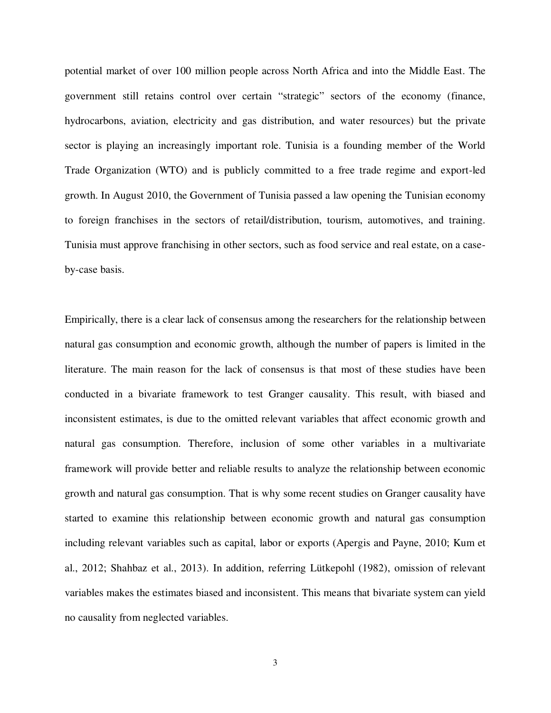potential market of over 100 million people across North Africa and into the Middle East. The government still retains control over certain "strategic" sectors of the economy (finance, hydrocarbons, aviation, electricity and gas distribution, and water resources) but the private sector is playing an increasingly important role. Tunisia is a founding member of the World Trade Organization (WTO) and is publicly committed to a free trade regime and export-led growth. In August 2010, the Government of Tunisia passed a law opening the Tunisian economy to foreign franchises in the sectors of retail/distribution, tourism, automotives, and training. Tunisia must approve franchising in other sectors, such as food service and real estate, on a caseby-case basis.

Empirically, there is a clear lack of consensus among the researchers for the relationship between natural gas consumption and economic growth, although the number of papers is limited in the literature. The main reason for the lack of consensus is that most of these studies have been conducted in a bivariate framework to test Granger causality. This result, with biased and inconsistent estimates, is due to the omitted relevant variables that affect economic growth and natural gas consumption. Therefore, inclusion of some other variables in a multivariate framework will provide better and reliable results to analyze the relationship between economic growth and natural gas consumption. That is why some recent studies on Granger causality have started to examine this relationship between economic growth and natural gas consumption including relevant variables such as capital, labor or exports (Apergis and Payne, 2010; Kum et al., 2012; Shahbaz et al., 2013). In addition, referring Lütkepohl (1982), omission of relevant variables makes the estimates biased and inconsistent. This means that bivariate system can yield no causality from neglected variables.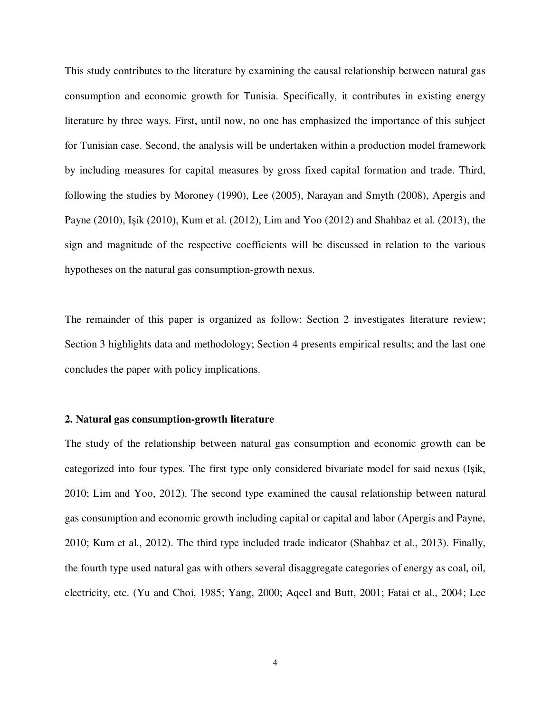This study contributes to the literature by examining the causal relationship between natural gas consumption and economic growth for Tunisia. Specifically, it contributes in existing energy literature by three ways. First, until now, no one has emphasized the importance of this subject for Tunisian case. Second, the analysis will be undertaken within a production model framework by including measures for capital measures by gross fixed capital formation and trade. Third, following the studies by Moroney (1990), Lee (2005), Narayan and Smyth (2008), Apergis and Payne (2010), Işik (2010), Kum et al. (2012), Lim and Yoo (2012) and Shahbaz et al. (2013), the sign and magnitude of the respective coefficients will be discussed in relation to the various hypotheses on the natural gas consumption-growth nexus.

The remainder of this paper is organized as follow: Section 2 investigates literature review; Section 3 highlights data and methodology; Section 4 presents empirical results; and the last one concludes the paper with policy implications.

## **2. Natural gas consumption-growth literature**

The study of the relationship between natural gas consumption and economic growth can be categorized into four types. The first type only considered bivariate model for said nexus (Işik, 2010; Lim and Yoo, 2012). The second type examined the causal relationship between natural gas consumption and economic growth including capital or capital and labor (Apergis and Payne, 2010; Kum et al., 2012). The third type included trade indicator (Shahbaz et al., 2013). Finally, the fourth type used natural gas with others several disaggregate categories of energy as coal, oil, electricity, etc. (Yu and Choi, 1985; Yang, 2000; Aqeel and Butt, 2001; Fatai et al., 2004; Lee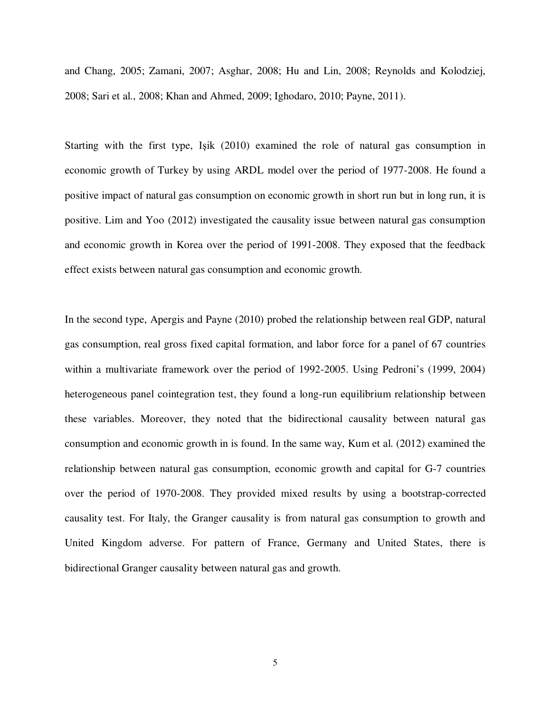and Chang, 2005; Zamani, 2007; Asghar, 2008; Hu and Lin, 2008; Reynolds and Kolodziej, 2008; Sari et al., 2008; Khan and Ahmed, 2009; Ighodaro, 2010; Payne, 2011).

Starting with the first type, Işik (2010) examined the role of natural gas consumption in economic growth of Turkey by using ARDL model over the period of 1977-2008. He found a positive impact of natural gas consumption on economic growth in short run but in long run, it is positive. Lim and Yoo (2012) investigated the causality issue between natural gas consumption and economic growth in Korea over the period of 1991-2008. They exposed that the feedback effect exists between natural gas consumption and economic growth.

In the second type, Apergis and Payne (2010) probed the relationship between real GDP, natural gas consumption, real gross fixed capital formation, and labor force for a panel of 67 countries within a multivariate framework over the period of 1992-2005. Using Pedroni's (1999, 2004) heterogeneous panel cointegration test, they found a long-run equilibrium relationship between these variables. Moreover, they noted that the bidirectional causality between natural gas consumption and economic growth in is found. In the same way, Kum et al. (2012) examined the relationship between natural gas consumption, economic growth and capital for G-7 countries over the period of 1970-2008. They provided mixed results by using a bootstrap-corrected causality test. For Italy, the Granger causality is from natural gas consumption to growth and United Kingdom adverse. For pattern of France, Germany and United States, there is bidirectional Granger causality between natural gas and growth.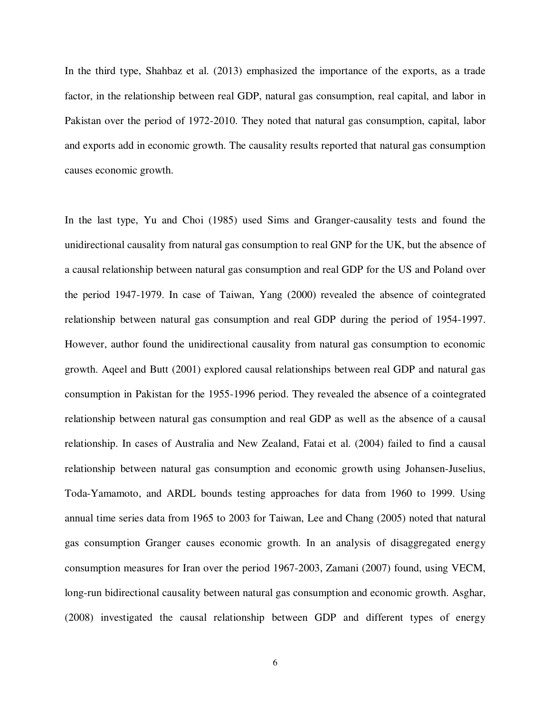In the third type, Shahbaz et al. (2013) emphasized the importance of the exports, as a trade factor, in the relationship between real GDP, natural gas consumption, real capital, and labor in Pakistan over the period of 1972-2010. They noted that natural gas consumption, capital, labor and exports add in economic growth. The causality results reported that natural gas consumption causes economic growth.

In the last type, Yu and Choi (1985) used Sims and Granger-causality tests and found the unidirectional causality from natural gas consumption to real GNP for the UK, but the absence of a causal relationship between natural gas consumption and real GDP for the US and Poland over the period 1947-1979. In case of Taiwan, Yang (2000) revealed the absence of cointegrated relationship between natural gas consumption and real GDP during the period of 1954-1997. However, author found the unidirectional causality from natural gas consumption to economic growth. Aqeel and Butt (2001) explored causal relationships between real GDP and natural gas consumption in Pakistan for the 1955-1996 period. They revealed the absence of a cointegrated relationship between natural gas consumption and real GDP as well as the absence of a causal relationship. In cases of Australia and New Zealand, Fatai et al. (2004) failed to find a causal relationship between natural gas consumption and economic growth using Johansen-Juselius, Toda-Yamamoto, and ARDL bounds testing approaches for data from 1960 to 1999. Using annual time series data from 1965 to 2003 for Taiwan, Lee and Chang (2005) noted that natural gas consumption Granger causes economic growth. In an analysis of disaggregated energy consumption measures for Iran over the period 1967-2003, Zamani (2007) found, using VECM, long-run bidirectional causality between natural gas consumption and economic growth. Asghar, (2008) investigated the causal relationship between GDP and different types of energy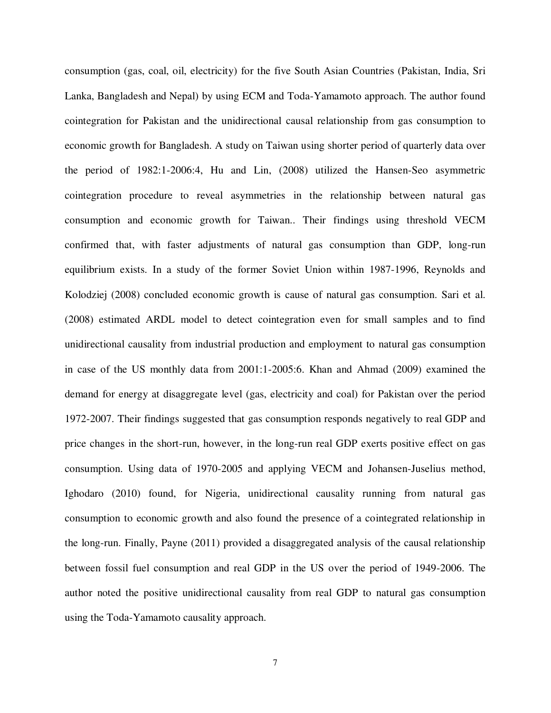consumption (gas, coal, oil, electricity) for the five South Asian Countries (Pakistan, India, Sri Lanka, Bangladesh and Nepal) by using ECM and Toda-Yamamoto approach. The author found cointegration for Pakistan and the unidirectional causal relationship from gas consumption to economic growth for Bangladesh. A study on Taiwan using shorter period of quarterly data over the period of 1982:1-2006:4, Hu and Lin, (2008) utilized the Hansen-Seo asymmetric cointegration procedure to reveal asymmetries in the relationship between natural gas consumption and economic growth for Taiwan.. Their findings using threshold VECM confirmed that, with faster adjustments of natural gas consumption than GDP, long-run equilibrium exists. In a study of the former Soviet Union within 1987-1996, Reynolds and Kolodziej (2008) concluded economic growth is cause of natural gas consumption. Sari et al. (2008) estimated ARDL model to detect cointegration even for small samples and to find unidirectional causality from industrial production and employment to natural gas consumption in case of the US monthly data from 2001:1-2005:6. Khan and Ahmad (2009) examined the demand for energy at disaggregate level (gas, electricity and coal) for Pakistan over the period 1972-2007. Their findings suggested that gas consumption responds negatively to real GDP and price changes in the short-run, however, in the long-run real GDP exerts positive effect on gas consumption. Using data of 1970-2005 and applying VECM and Johansen-Juselius method, Ighodaro (2010) found, for Nigeria, unidirectional causality running from natural gas consumption to economic growth and also found the presence of a cointegrated relationship in the long-run. Finally, Payne (2011) provided a disaggregated analysis of the causal relationship between fossil fuel consumption and real GDP in the US over the period of 1949-2006. The author noted the positive unidirectional causality from real GDP to natural gas consumption using the Toda-Yamamoto causality approach.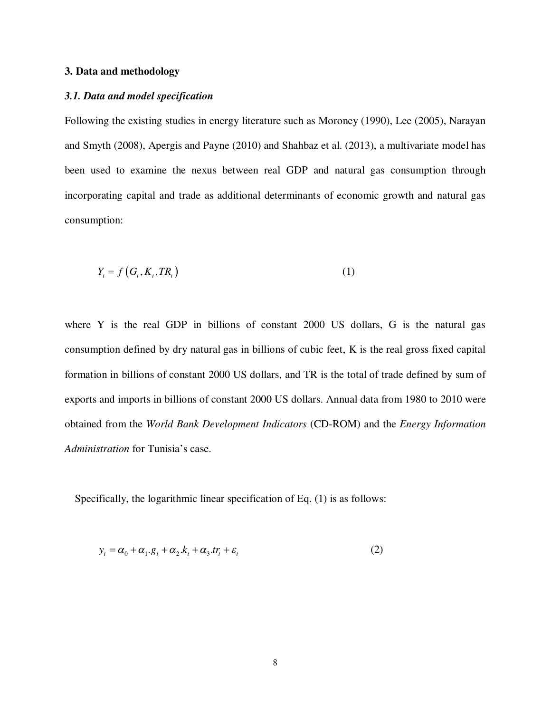# **3. Data and methodology**

## *3.1. Data and model specification*

Following the existing studies in energy literature such as Moroney (1990), Lee (2005), Narayan and Smyth (2008), Apergis and Payne (2010) and Shahbaz et al. (2013), a multivariate model has been used to examine the nexus between real GDP and natural gas consumption through incorporating capital and trade as additional determinants of economic growth and natural gas consumption:

$$
Y_t = f\left(G_t, K_t, TR_t\right) \tag{1}
$$

where Y is the real GDP in billions of constant 2000 US dollars, G is the natural gas consumption defined by dry natural gas in billions of cubic feet, K is the real gross fixed capital formation in billions of constant 2000 US dollars, and TR is the total of trade defined by sum of exports and imports in billions of constant 2000 US dollars. Annual data from 1980 to 2010 were obtained from the *World Bank Development Indicators* (CD-ROM) and the *Energy Information Administration* for Tunisia's case.

Specifically, the logarithmic linear specification of Eq. (1) is as follows:

$$
y_t = \alpha_0 + \alpha_1 \cdot g_t + \alpha_2 \cdot k_t + \alpha_3 \cdot tr_t + \varepsilon_t \tag{2}
$$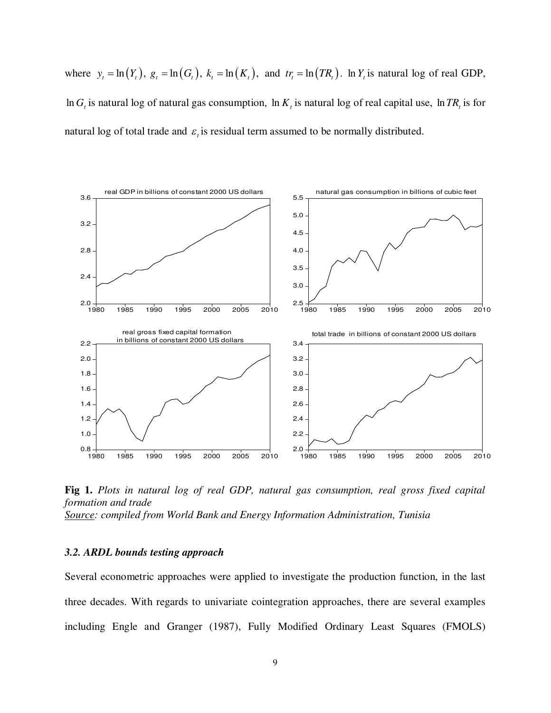where  $y_t = \ln(Y_t)$ ,  $g_t = \ln(G_t)$ ,  $k_t = \ln(K_t)$ , and  $tr_t = \ln(TR_t)$ .  $\ln Y_t$  is natural log of real GDP,  $\ln G_t$  is natural log of natural gas consumption,  $\ln K_t$  is natural log of real capital use,  $\ln TR_t$  is for natural log of total trade and  $\varepsilon$ <sub>i</sub> is residual term assumed to be normally distributed.



**Fig 1.** *Plots in natural log of real GDP, natural gas consumption, real gross fixed capital formation and trade Source: compiled from World Bank and Energy Information Administration, Tunisia*

# *3.2. ARDL bounds testing approach*

Several econometric approaches were applied to investigate the production function, in the last three decades. With regards to univariate cointegration approaches, there are several examples including Engle and Granger (1987), Fully Modified Ordinary Least Squares (FMOLS)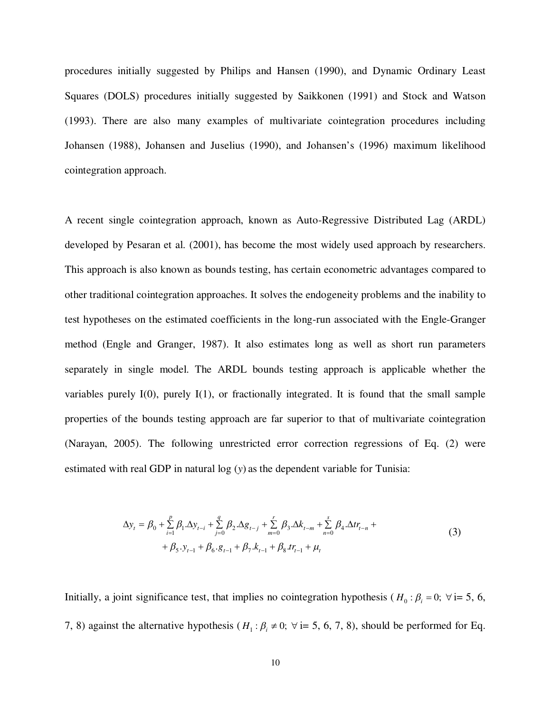procedures initially suggested by Philips and Hansen (1990), and Dynamic Ordinary Least Squares (DOLS) procedures initially suggested by Saikkonen (1991) and Stock and Watson (1993). There are also many examples of multivariate cointegration procedures including Johansen (1988), Johansen and Juselius (1990), and Johansen's (1996) maximum likelihood cointegration approach.

A recent single cointegration approach, known as Auto-Regressive Distributed Lag (ARDL) developed by Pesaran et al. (2001), has become the most widely used approach by researchers. This approach is also known as bounds testing, has certain econometric advantages compared to other traditional cointegration approaches. It solves the endogeneity problems and the inability to test hypotheses on the estimated coefficients in the long-run associated with the Engle-Granger method (Engle and Granger, 1987). It also estimates long as well as short run parameters separately in single model. The ARDL bounds testing approach is applicable whether the variables purely I(0), purely I(1), or fractionally integrated. It is found that the small sample properties of the bounds testing approach are far superior to that of multivariate cointegration (Narayan, 2005). The following unrestricted error correction regressions of Eq. (2) were estimated with real GDP in natural log (*y*) as the dependent variable for Tunisia:

$$
\Delta y_{t} = \beta_{0} + \sum_{i=1}^{p} \beta_{1} \cdot \Delta y_{t-i} + \sum_{j=0}^{q} \beta_{2} \cdot \Delta g_{t-j} + \sum_{m=0}^{r} \beta_{3} \cdot \Delta k_{t-m} + \sum_{n=0}^{s} \beta_{4} \cdot \Delta t r_{t-n} + + \beta_{5} \cdot y_{t-1} + \beta_{6} \cdot g_{t-1} + \beta_{7} \cdot k_{t-1} + \beta_{8} \cdot tr_{t-1} + \mu_{t}
$$
\n(3)

Initially, a joint significance test, that implies no cointegration hypothesis ( $H_0: \beta_i = 0$ ;  $\forall i=5, 6$ , 7, 8) against the alternative hypothesis ( $H_1: \beta_i \neq 0$ ;  $\forall i= 5, 6, 7, 8$ ), should be performed for Eq.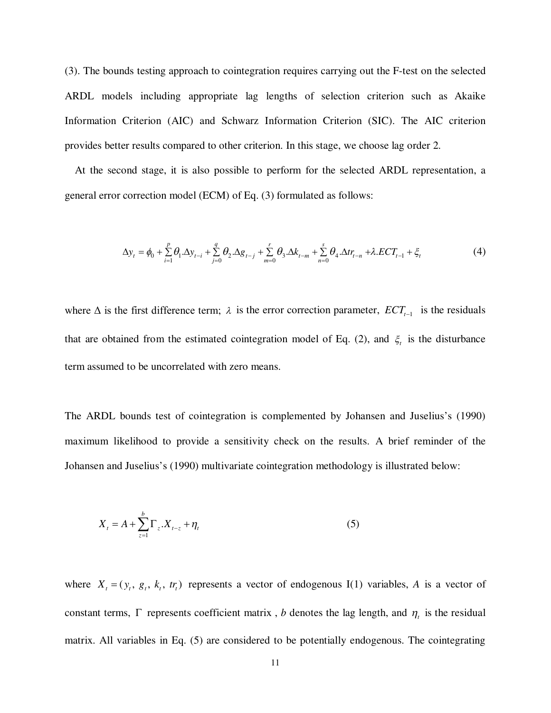(3). The bounds testing approach to cointegration requires carrying out the F-test on the selected ARDL models including appropriate lag lengths of selection criterion such as Akaike Information Criterion (AIC) and Schwarz Information Criterion (SIC). The AIC criterion provides better results compared to other criterion. In this stage, we choose lag order 2.

At the second stage, it is also possible to perform for the selected ARDL representation, a general error correction model (ECM) of Eq. (3) formulated as follows:

$$
\Delta y_t = \phi_0 + \sum_{i=1}^p \theta_i \cdot \Delta y_{t-i} + \sum_{j=0}^q \theta_j \cdot \Delta g_{t-j} + \sum_{m=0}^r \theta_j \cdot \Delta k_{t-m} + \sum_{n=0}^s \theta_4 \cdot \Delta t_{t-n} + \lambda \cdot ECT_{t-1} + \xi_t
$$
(4)

where  $\Delta$  is the first difference term;  $\lambda$  is the error correction parameter,  $ECT_{t-1}$  is the residuals that are obtained from the estimated cointegration model of Eq. (2), and  $\xi_t$  is the disturbance term assumed to be uncorrelated with zero means.

The ARDL bounds test of cointegration is complemented by Johansen and Juselius's (1990) maximum likelihood to provide a sensitivity check on the results. A brief reminder of the Johansen and Juselius's (1990) multivariate cointegration methodology is illustrated below:

$$
X_{t} = A + \sum_{z=1}^{b} \Gamma_{z} X_{t-z} + \eta_{t}
$$
 (5)

where  $X_t = (y_t, g_t, k_t, tr_t)$  represents a vector of endogenous I(1) variables, *A* is a vector of constant terms,  $\Gamma$  represents coefficient matrix, *b* denotes the lag length, and  $\eta_t$  is the residual matrix. All variables in Eq. (5) are considered to be potentially endogenous. The cointegrating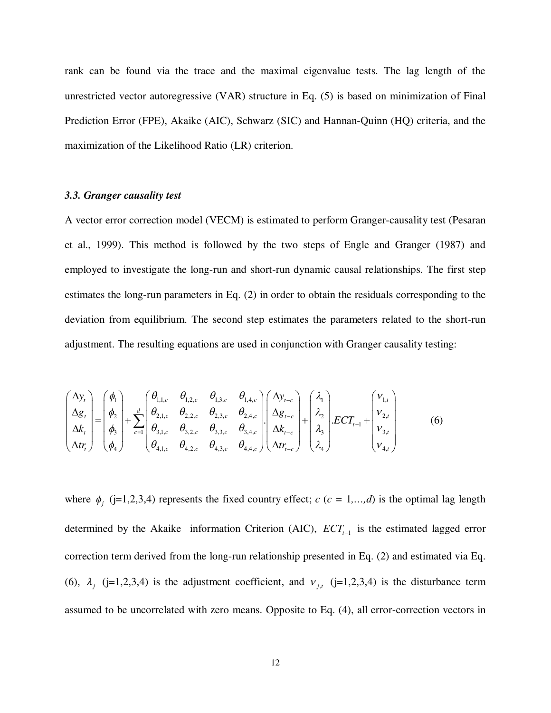rank can be found via the trace and the maximal eigenvalue tests. The lag length of the unrestricted vector autoregressive (VAR) structure in Eq. (5) is based on minimization of Final Prediction Error (FPE), Akaike (AIC), Schwarz (SIC) and Hannan-Quinn (HQ) criteria, and the maximization of the Likelihood Ratio (LR) criterion.

# *3.3. Granger causality test*

A vector error correction model (VECM) is estimated to perform Granger-causality test (Pesaran et al., 1999). This method is followed by the two steps of Engle and Granger (1987) and employed to investigate the long-run and short-run dynamic causal relationships. The first step estimates the long-run parameters in Eq. (2) in order to obtain the residuals corresponding to the deviation from equilibrium. The second step estimates the parameters related to the short-run adjustment. The resulting equations are used in conjunction with Granger causality testing:

$$
\begin{pmatrix}\n\Delta y_t \\
\Delta g_t \\
\Delta k_t \\
\Delta t r_t\n\end{pmatrix} = \begin{pmatrix}\n\phi_1 \\
\phi_2 \\
\phi_3 \\
\phi_4\n\end{pmatrix} + \sum_{c=1}^d \begin{pmatrix}\n\theta_{1,1,c} & \theta_{1,2,c} & \theta_{1,3,c} & \theta_{1,4,c} \\
\theta_{2,1,c} & \theta_{2,2,c} & \theta_{2,3,c} & \theta_{2,4,c} \\
\theta_{3,1,c} & \theta_{3,2,c} & \theta_{3,3,c} & \theta_{3,4,c} \\
\theta_{4,1,c} & \theta_{4,2,c} & \theta_{4,3,c} & \theta_{4,4,c}\n\end{pmatrix} \begin{pmatrix}\n\Delta y_{t-c} \\
\Delta g_{t-c} \\
\Delta k_{t-c} \\
\Delta t r_{t-c}\n\end{pmatrix} + \begin{pmatrix}\n\lambda_1 \\
\lambda_2 \\
\lambda_3 \\
\lambda_4\n\end{pmatrix} . ECT_{t-1} + \begin{pmatrix}\nv_{1,t} \\
v_{2,t} \\
v_{3,t} \\
v_{4,t}\n\end{pmatrix}
$$
\n(6)

where  $\phi_j$  (j=1,2,3,4) represents the fixed country effect;  $c$  ( $c = 1,...,d$ ) is the optimal lag length determined by the Akaike information Criterion (AIC),  $ECT_{t-1}$  is the estimated lagged error correction term derived from the long-run relationship presented in Eq. (2) and estimated via Eq. (6),  $\lambda_j$  (j=1,2,3,4) is the adjustment coefficient, and  $v_{j,t}$  (j=1,2,3,4) is the disturbance term assumed to be uncorrelated with zero means. Opposite to Eq. (4), all error-correction vectors in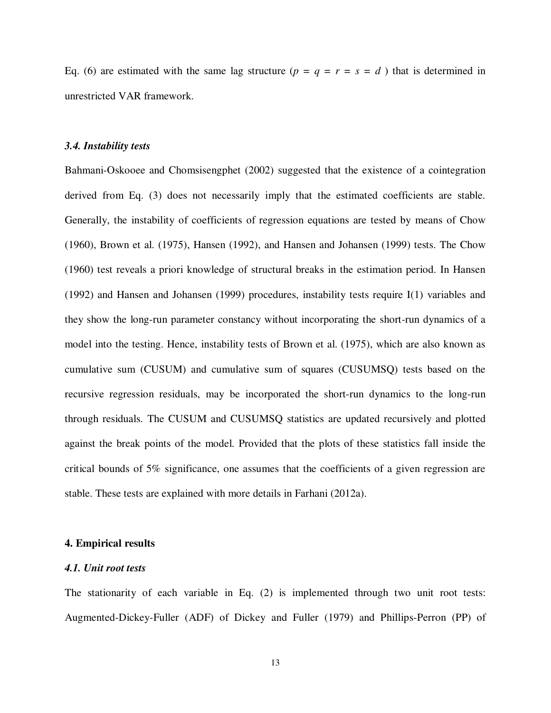Eq. (6) are estimated with the same lag structure ( $p = q = r = s = d$ ) that is determined in unrestricted VAR framework.

# *3.4. Instability tests*

Bahmani-Oskooee and Chomsisengphet (2002) suggested that the existence of a cointegration derived from Eq. (3) does not necessarily imply that the estimated coefficients are stable. Generally, the instability of coefficients of regression equations are tested by means of Chow (1960), Brown et al. (1975), Hansen (1992), and Hansen and Johansen (1999) tests. The Chow (1960) test reveals a priori knowledge of structural breaks in the estimation period. In Hansen (1992) and Hansen and Johansen (1999) procedures, instability tests require I(1) variables and they show the long-run parameter constancy without incorporating the short-run dynamics of a model into the testing. Hence, instability tests of Brown et al. (1975), which are also known as cumulative sum (CUSUM) and cumulative sum of squares (CUSUMSQ) tests based on the recursive regression residuals, may be incorporated the short-run dynamics to the long-run through residuals. The CUSUM and CUSUMSQ statistics are updated recursively and plotted against the break points of the model. Provided that the plots of these statistics fall inside the critical bounds of 5% significance, one assumes that the coefficients of a given regression are stable. These tests are explained with more details in Farhani (2012a).

## **4. Empirical results**

### *4.1. Unit root tests*

The stationarity of each variable in Eq. (2) is implemented through two unit root tests: Augmented-Dickey-Fuller (ADF) of Dickey and Fuller (1979) and Phillips-Perron (PP) of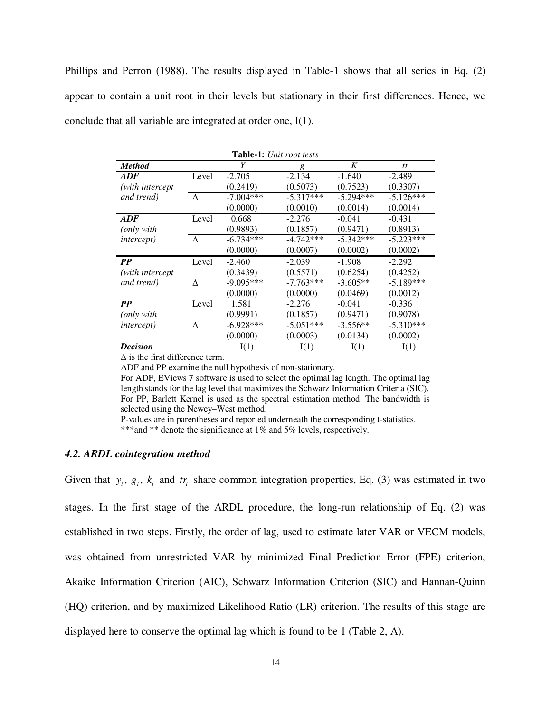Phillips and Perron (1988). The results displayed in Table-1 shows that all series in Eq. (2) appear to contain a unit root in their levels but stationary in their first differences. Hence, we conclude that all variable are integrated at order one, I(1).

| <b>Table-1:</b> Unit root tests |       |             |             |             |             |
|---------------------------------|-------|-------------|-------------|-------------|-------------|
| <b>Method</b>                   |       | Y           | g           | K           | tr          |
| ADF                             | Level | $-2.705$    | $-2.134$    | $-1.640$    | $-2.489$    |
| (with intercept                 |       | (0.2419)    | (0.5073)    | (0.7523)    | (0.3307)    |
| and trend)                      | Δ     | $-7.004***$ | $-5.317***$ | $-5.294***$ | $-5.126***$ |
|                                 |       | (0.0000)    | (0.0010)    | (0.0014)    | (0.0014)    |
| <b>ADF</b>                      | Level | 0.668       | $-2.276$    | $-0.041$    | $-0.431$    |
| ( <i>only</i> with              |       | (0.9893)    | (0.1857)    | (0.9471)    | (0.8913)    |
| <i>intercept</i> )              | Δ     | $-6.734***$ | $-4.742***$ | $-5.342***$ | $-5.223***$ |
|                                 |       | (0.0000)    | (0.0007)    | (0.0002)    | (0.0002)    |
| $\bm{PP}$                       | Level | $-2.460$    | $-2.039$    | $-1.908$    | $-2.292$    |
| (with intercept)                |       | (0.3439)    | (0.5571)    | (0.6254)    | (0.4252)    |
| and trend)                      | Δ     | $-9.095***$ | $-7.763***$ | $-3.605**$  | $-5.189***$ |
|                                 |       | (0.0000)    | (0.0000)    | (0.0469)    | (0.0012)    |
| <b>PP</b>                       | Level | 1.581       | $-2.276$    | $-0.041$    | $-0.336$    |
| ( <i>only</i> with              |       | (0.9991)    | (0.1857)    | (0.9471)    | (0.9078)    |
| <i>intercept</i> )              | Δ     | $-6.928***$ | $-5.051***$ | $-3.556**$  | $-5.310***$ |
|                                 |       | (0.0000)    | (0.0003)    | (0.0134)    | (0.0002)    |
| <b>Decision</b>                 |       | I(1)        | I(1)        | I(1)        | I(1)        |

Δ is the first difference term.

ADF and PP examine the null hypothesis of non-stationary.

For ADF, EViews 7 software is used to select the optimal lag length. The optimal lag length stands for the lag level that maximizes the Schwarz Information Criteria (SIC). For PP, Barlett Kernel is used as the spectral estimation method. The bandwidth is selected using the Newey–West method.

P-values are in parentheses and reported underneath the corresponding t-statistics. \*\*\*and \*\* denote the significance at 1% and 5% levels, respectively.

#### *4.2. ARDL cointegration method*

Given that  $y_t$ ,  $g_t$ ,  $k_t$  and  $tr_t$  share common integration properties, Eq. (3) was estimated in two stages. In the first stage of the ARDL procedure, the long-run relationship of Eq. (2) was established in two steps. Firstly, the order of lag, used to estimate later VAR or VECM models, was obtained from unrestricted VAR by minimized Final Prediction Error (FPE) criterion, Akaike Information Criterion (AIC), Schwarz Information Criterion (SIC) and Hannan-Quinn (HQ) criterion, and by maximized Likelihood Ratio (LR) criterion. The results of this stage are displayed here to conserve the optimal lag which is found to be 1 (Table 2, A).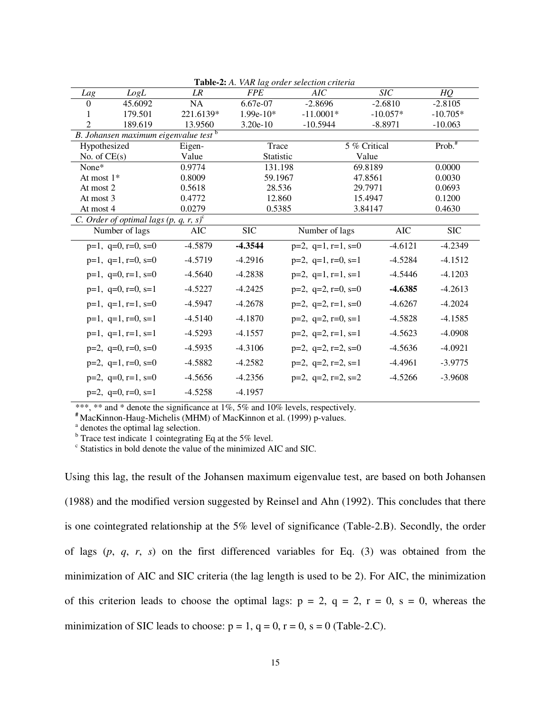|                |                                               |            |                  | <b>rapic-2.</b> A. VAR tag bruer selection criteria |              |                    |
|----------------|-----------------------------------------------|------------|------------------|-----------------------------------------------------|--------------|--------------------|
| Lag            | LogL                                          | LR         | <b>FPE</b>       | AIC                                                 | <b>SIC</b>   | <b>HQ</b>          |
| $\Omega$       | 45.6092                                       | NA         | 6.67e-07         | $-2.8696$                                           | $-2.6810$    | $-2.8105$          |
|                | 179.501                                       | 221.6139*  | $1.99e-10*$      | $-11.0001*$                                         | $-10.057*$   | $-10.705*$         |
| $\mathfrak{D}$ | 189.619                                       | 13.9560    | $3.20e-10$       | $-10.5944$                                          | $-8.8971$    | $-10.063$          |
|                | B. Johansen maximum eigenvalue test b         |            |                  |                                                     |              |                    |
| Hypothesized   |                                               | Eigen-     | Trace            |                                                     | 5 % Critical | Prob. <sup>#</sup> |
| No. of $CE(s)$ |                                               | Value      | <b>Statistic</b> |                                                     | Value        |                    |
| None*          |                                               | 0.9774     |                  | 131.198                                             | 69.8189      | 0.0000             |
| At most $1*$   |                                               | 0.8009     |                  | 59.1967                                             | 47.8561      | 0.0030             |
| At most 2      |                                               | 0.5618     |                  | 28.536                                              | 29.7971      | 0.0693             |
| At most 3      |                                               | 0.4772     |                  | 12.860                                              | 15.4947      | 0.1200             |
| At most 4      |                                               | 0.0279     |                  | 0.5385                                              | 3.84147      | 0.4630             |
|                | C. Order of optimal lags (p, q, r, s) $\circ$ |            |                  |                                                     |              |                    |
|                | Number of lags                                | <b>AIC</b> | <b>SIC</b>       | Number of lags                                      | <b>AIC</b>   | <b>SIC</b>         |
|                | $p=1$ , $q=0$ , $r=0$ , $s=0$                 | $-4.5879$  | $-4.3544$        | $p=2$ , $q=1$ , $r=1$ , $s=0$                       | $-4.6121$    | $-4.2349$          |
|                | $p=1$ , $q=1$ , $r=0$ , $s=0$                 | $-4.5719$  | $-4.2916$        | $p=2$ , $q=1$ , $r=0$ , $s=1$                       | $-4.5284$    | $-4.1512$          |
|                | $p=1$ , $q=0$ , $r=1$ , $s=0$                 | $-4.5640$  | $-4.2838$        | $p=2$ , $q=1$ , $r=1$ , $s=1$                       | $-4.5446$    | $-4.1203$          |
|                | $p=1$ , $q=0$ , $r=0$ , $s=1$                 | $-4.5227$  | $-4.2425$        | $p=2$ , $q=2$ , $r=0$ , $s=0$                       | $-4.6385$    | $-4.2613$          |
|                | $p=1$ , $q=1$ , $r=1$ , $s=0$                 | $-4.5947$  | $-4.2678$        | $p=2$ , $q=2$ , $r=1$ , $s=0$                       | $-4.6267$    | $-4.2024$          |
|                | $p=1$ , $q=1$ , $r=0$ , $s=1$                 | $-4.5140$  | $-4.1870$        | $p=2$ , $q=2$ , $r=0$ , $s=1$                       | $-4.5828$    | $-4.1585$          |
|                | $p=1$ , $q=1$ , $r=1$ , $s=1$                 | $-4.5293$  | $-4.1557$        | $p=2$ , $q=2$ , $r=1$ , $s=1$                       | $-4.5623$    | $-4.0908$          |
|                | $p=2$ , $q=0$ , $r=0$ , $s=0$                 | $-4.5935$  | $-4.3106$        | $p=2$ , $q=2$ , $r=2$ , $s=0$                       | $-4.5636$    | $-4.0921$          |
|                | $p=2$ , $q=1$ , $r=0$ , $s=0$                 | $-4.5882$  | $-4.2582$        | $p=2$ , $q=2$ , $r=2$ , $s=1$                       | $-4.4961$    | $-3.9775$          |
|                | $p=2$ , $q=0$ , $r=1$ , $s=0$                 | $-4.5656$  | $-4.2356$        | $p=2$ , $q=2$ , $r=2$ , $s=2$                       | $-4.5266$    | $-3.9608$          |
|                | $p=2$ , $q=0$ , $r=0$ , $s=1$                 | $-4.5258$  | $-4.1957$        |                                                     |              |                    |
|                |                                               |            |                  |                                                     |              |                    |

**Table-2:** *A. VAR lag order selection criteria*

\*\*\*, \*\* and \* denote the significance at 1%, 5% and 10% levels, respectively.

**#** MacKinnon-Haug-Michelis (MHM) of MacKinnon et al. (1999) p-values.

<sup>a</sup> denotes the optimal lag selection.

 $b$  Trace test indicate 1 cointegrating Eq at the 5% level.

c Statistics in bold denote the value of the minimized AIC and SIC.

Using this lag, the result of the Johansen maximum eigenvalue test, are based on both Johansen (1988) and the modified version suggested by Reinsel and Ahn (1992). This concludes that there is one cointegrated relationship at the 5% level of significance (Table-2.B). Secondly, the order of lags (*p*, *q*, *r*, *s*) on the first differenced variables for Eq. (3) was obtained from the minimization of AIC and SIC criteria (the lag length is used to be 2). For AIC, the minimization of this criterion leads to choose the optimal lags:  $p = 2$ ,  $q = 2$ ,  $r = 0$ ,  $s = 0$ , whereas the minimization of SIC leads to choose:  $p = 1$ ,  $q = 0$ ,  $r = 0$ ,  $s = 0$  (Table-2.C).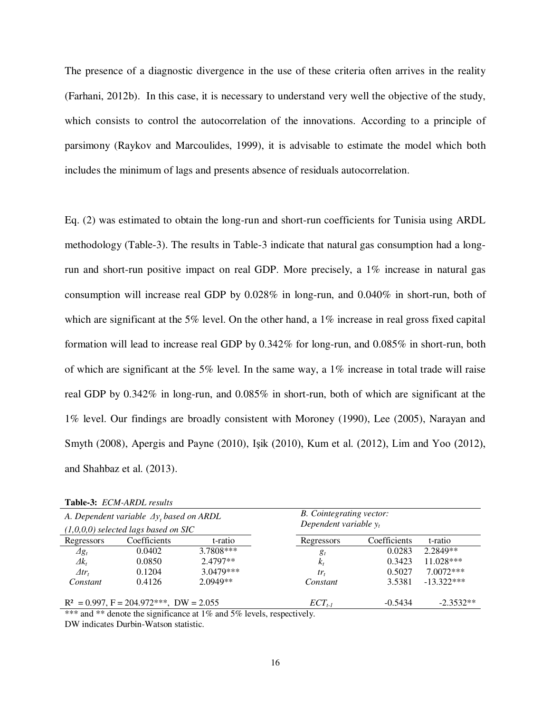The presence of a diagnostic divergence in the use of these criteria often arrives in the reality (Farhani, 2012b). In this case, it is necessary to understand very well the objective of the study, which consists to control the autocorrelation of the innovations. According to a principle of parsimony (Raykov and Marcoulides, 1999), it is advisable to estimate the model which both includes the minimum of lags and presents absence of residuals autocorrelation.

Eq. (2) was estimated to obtain the long-run and short-run coefficients for Tunisia using ARDL methodology (Table-3). The results in Table-3 indicate that natural gas consumption had a longrun and short-run positive impact on real GDP. More precisely, a 1% increase in natural gas consumption will increase real GDP by 0.028% in long-run, and 0.040% in short-run, both of which are significant at the 5% level. On the other hand, a 1% increase in real gross fixed capital formation will lead to increase real GDP by 0.342% for long-run, and 0.085% in short-run, both of which are significant at the 5% level. In the same way, a 1% increase in total trade will raise real GDP by 0.342% in long-run, and 0.085% in short-run, both of which are significant at the 1% level. Our findings are broadly consistent with Moroney (1990), Lee (2005), Narayan and Smyth (2008), Apergis and Payne (2010), Işik (2010), Kum et al. (2012), Lim and Yoo (2012), and Shahbaz et al. (2013).

|                  | <b>Table-S:</b> ECM-ARDL Tesuus                                                            |             |                                                             |              |              |  |
|------------------|--------------------------------------------------------------------------------------------|-------------|-------------------------------------------------------------|--------------|--------------|--|
|                  | A. Dependent variable $\Delta y_t$ based on ARDL<br>$(1,0,0,0)$ selected lags based on SIC |             | <b>B.</b> Cointegrating vector:<br>Dependent variable $y_t$ |              |              |  |
|                  |                                                                                            |             |                                                             |              |              |  |
| Regressors       | Coefficients                                                                               | t-ratio     | Regressors                                                  | Coefficients | t-ratio      |  |
| $\varDelta g_t$  | 0.0402                                                                                     | 3.7808***   | $g_t$                                                       | 0.0283       | 2.2849**     |  |
| $\Delta k_t$     | 0.0850                                                                                     | $2.4797**$  | $k_t$                                                       | 0.3423       | $11.028***$  |  |
| $\varDelta tr_t$ | 0.1204                                                                                     | $3.0479***$ | $tr_{t}$                                                    | 0.5027       | $7.0072***$  |  |
| Constant         | 0.4126                                                                                     | $2.0949**$  | Constant                                                    | 3.5381       | $-13.322***$ |  |
|                  | $R^2 = 0.997$ , $F = 204.972$ ***, DW = 2.055                                              |             | $ECT_{t-1}$                                                 | $-0.5434$    | $-2.3532**$  |  |

**Table-3:** *ECM-ARDL results*

\*\*\* and \*\* denote the significance at 1% and 5% levels, respectively.

DW indicates Durbin-Watson statistic.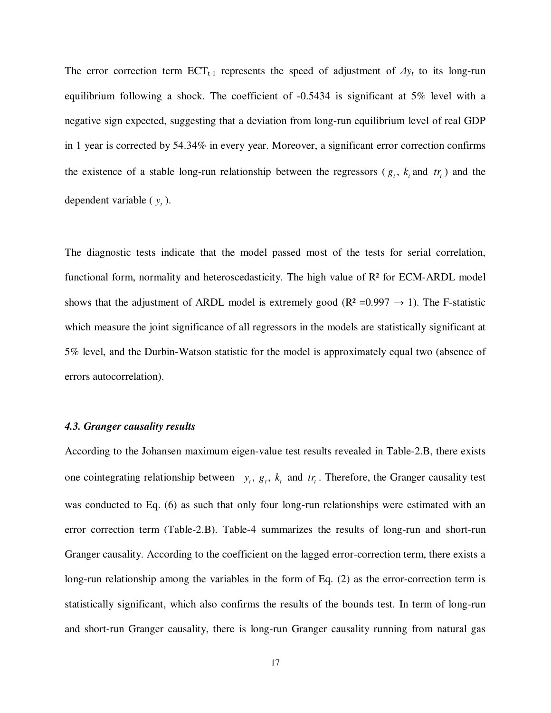The error correction term  $ECT_{t-1}$  represents the speed of adjustment of  $\Delta y_t$  to its long-run equilibrium following a shock. The coefficient of -0.5434 is significant at 5% level with a negative sign expected, suggesting that a deviation from long-run equilibrium level of real GDP in 1 year is corrected by 54.34% in every year. Moreover, a significant error correction confirms the existence of a stable long-run relationship between the regressors ( $g_t$ ,  $k_t$  and  $tr_t$ ) and the dependent variable  $(y_t)$ .

The diagnostic tests indicate that the model passed most of the tests for serial correlation, functional form, normality and heteroscedasticity. The high value of R² for ECM-ARDL model shows that the adjustment of ARDL model is extremely good ( $R^2 = 0.997 \rightarrow 1$ ). The F-statistic which measure the joint significance of all regressors in the models are statistically significant at 5% level, and the Durbin-Watson statistic for the model is approximately equal two (absence of errors autocorrelation).

# *4.3. Granger causality results*

According to the Johansen maximum eigen-value test results revealed in Table-2.B, there exists one cointegrating relationship between  $y_t$ ,  $g_t$ ,  $k_t$  and  $tr_t$ . Therefore, the Granger causality test was conducted to Eq. (6) as such that only four long-run relationships were estimated with an error correction term (Table-2.B). Table-4 summarizes the results of long-run and short-run Granger causality. According to the coefficient on the lagged error-correction term, there exists a long-run relationship among the variables in the form of Eq. (2) as the error-correction term is statistically significant, which also confirms the results of the bounds test. In term of long-run and short-run Granger causality, there is long-run Granger causality running from natural gas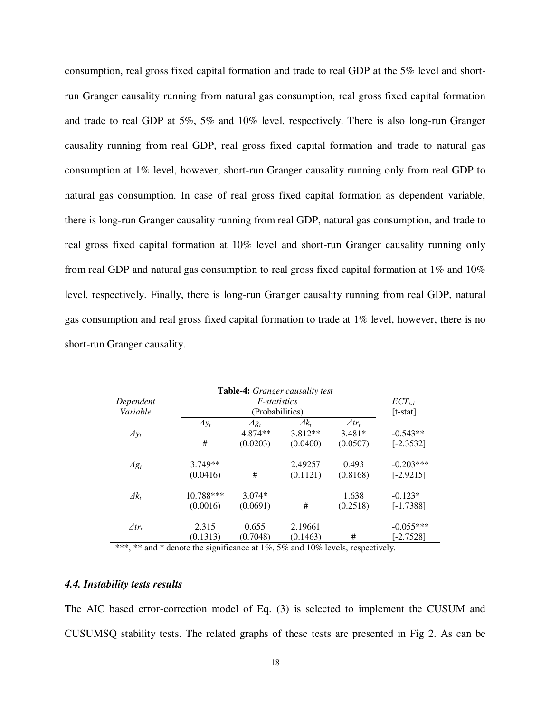consumption, real gross fixed capital formation and trade to real GDP at the 5% level and shortrun Granger causality running from natural gas consumption, real gross fixed capital formation and trade to real GDP at 5%, 5% and 10% level, respectively. There is also long-run Granger causality running from real GDP, real gross fixed capital formation and trade to natural gas consumption at 1% level, however, short-run Granger causality running only from real GDP to natural gas consumption. In case of real gross fixed capital formation as dependent variable, there is long-run Granger causality running from real GDP, natural gas consumption, and trade to real gross fixed capital formation at 10% level and short-run Granger causality running only from real GDP and natural gas consumption to real gross fixed capital formation at 1% and 10% level, respectively. Finally, there is long-run Granger causality running from real GDP, natural gas consumption and real gross fixed capital formation to trade at 1% level, however, there is no short-run Granger causality.

|                  |              |                 | Table-4: Granger causality test |                  |             |
|------------------|--------------|-----------------|---------------------------------|------------------|-------------|
| Dependent        |              | $ECT_{t-1}$     |                                 |                  |             |
| Variable         |              | $[t-stat]$      |                                 |                  |             |
|                  | $\Delta y_t$ | $\varDelta g_t$ | $\Delta k_t$                    | $\varDelta tr_t$ |             |
| $\Delta y_t$     |              | 4.874**         | $3.812**$                       | $3.481*$         | $-0.543**$  |
|                  | #            | (0.0203)        | (0.0400)                        | (0.0507)         | $[-2.3532]$ |
| $\varDelta g_t$  | $3.749**$    |                 | 2.49257                         | 0.493            | $-0.203***$ |
|                  | (0.0416)     | #               | (0.1121)                        | (0.8168)         | $[-2.9215]$ |
| $\varDelta k_t$  | 10.788***    | $3.074*$        |                                 | 1.638            | $-0.123*$   |
|                  | (0.0016)     | (0.0691)        | #                               | (0.2518)         | $[-1.7388]$ |
| $\varDelta tr_t$ | 2.315        | 0.655           | 2.19661                         |                  | $-0.055***$ |
|                  | (0.1313)     | (0.7048)        | (0.1463)                        | #                | $[-2.7528]$ |

\*\*\*, \*\* and \* denote the significance at 1%, 5% and 10% levels, respectively.

# *4.4. Instability tests results*

The AIC based error-correction model of Eq. (3) is selected to implement the CUSUM and CUSUMSQ stability tests. The related graphs of these tests are presented in Fig 2. As can be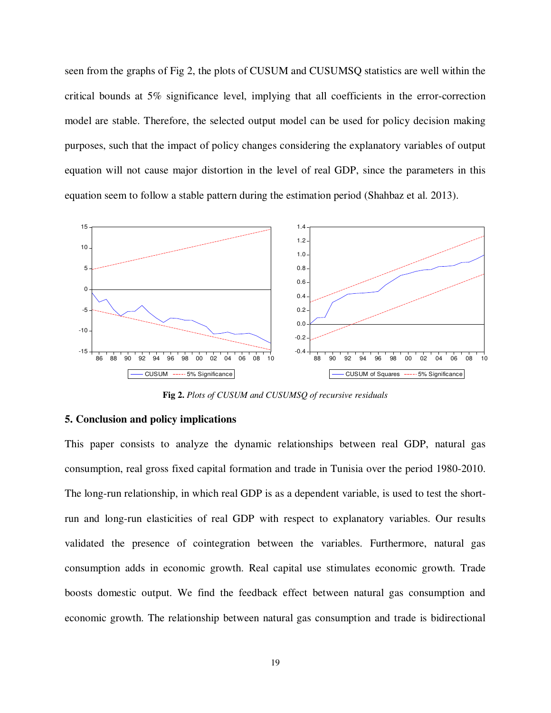seen from the graphs of Fig 2, the plots of CUSUM and CUSUMSQ statistics are well within the critical bounds at 5% significance level, implying that all coefficients in the error-correction model are stable. Therefore, the selected output model can be used for policy decision making purposes, such that the impact of policy changes considering the explanatory variables of output equation will not cause major distortion in the level of real GDP, since the parameters in this equation seem to follow a stable pattern during the estimation period (Shahbaz et al. 2013).



**Fig 2.** *Plots of CUSUM and CUSUMSQ of recursive residuals*

# **5. Conclusion and policy implications**

This paper consists to analyze the dynamic relationships between real GDP, natural gas consumption, real gross fixed capital formation and trade in Tunisia over the period 1980-2010. The long-run relationship, in which real GDP is as a dependent variable, is used to test the shortrun and long-run elasticities of real GDP with respect to explanatory variables. Our results validated the presence of cointegration between the variables. Furthermore, natural gas consumption adds in economic growth. Real capital use stimulates economic growth. Trade boosts domestic output. We find the feedback effect between natural gas consumption and economic growth. The relationship between natural gas consumption and trade is bidirectional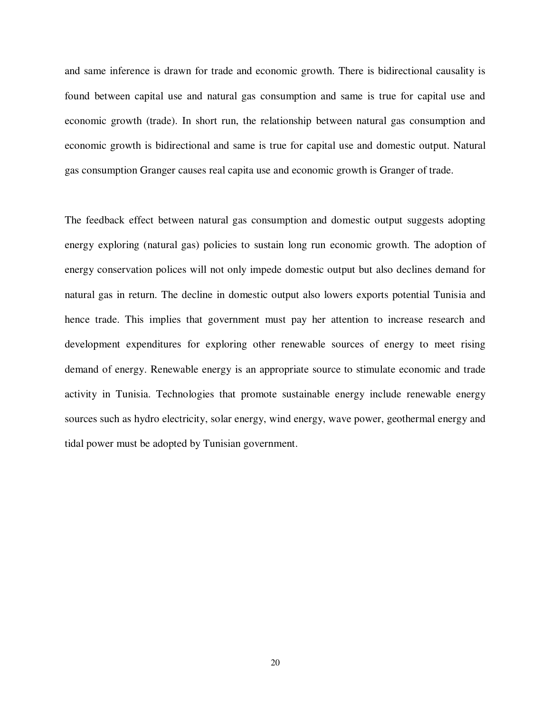and same inference is drawn for trade and economic growth. There is bidirectional causality is found between capital use and natural gas consumption and same is true for capital use and economic growth (trade). In short run, the relationship between natural gas consumption and economic growth is bidirectional and same is true for capital use and domestic output. Natural gas consumption Granger causes real capita use and economic growth is Granger of trade.

The feedback effect between natural gas consumption and domestic output suggests adopting energy exploring (natural gas) policies to sustain long run economic growth. The adoption of energy conservation polices will not only impede domestic output but also declines demand for natural gas in return. The decline in domestic output also lowers exports potential Tunisia and hence trade. This implies that government must pay her attention to increase research and development expenditures for exploring other renewable sources of energy to meet rising demand of energy. Renewable energy is an appropriate source to stimulate economic and trade activity in Tunisia. Technologies that promote sustainable energy include renewable energy sources such as hydro electricity, solar energy, wind energy, wave power, geothermal energy and tidal power must be adopted by Tunisian government.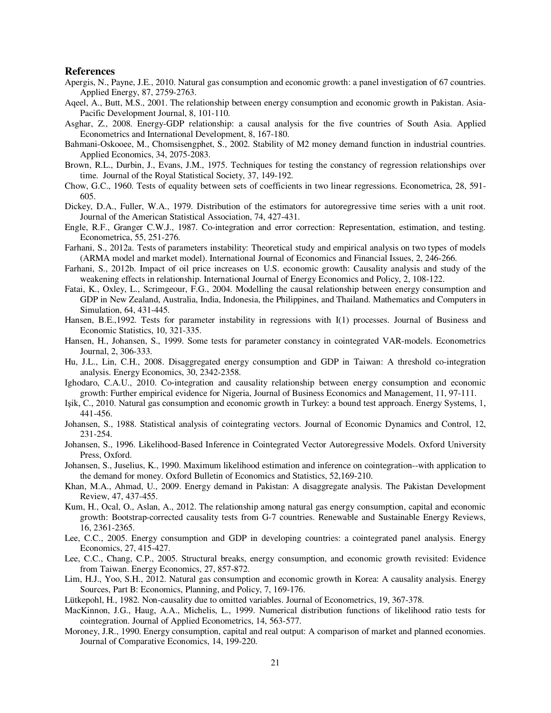## **References**

- Apergis, N., Payne, J.E., 2010. Natural gas consumption and economic growth: a panel investigation of 67 countries. Applied Energy, 87, 2759-2763.
- Aqeel, A., Butt, M.S., 2001. The relationship between energy consumption and economic growth in Pakistan. Asia-Pacific Development Journal, 8, 101-110.
- Asghar, Z., 2008. Energy-GDP relationship: a causal analysis for the five countries of South Asia. Applied Econometrics and International Development, 8, 167-180.
- Bahmani-Oskooee, M., Chomsisengphet, S., 2002. Stability of M2 money demand function in industrial countries. Applied Economics, 34, 2075-2083.
- Brown, R.L., Durbin, J., Evans, J.M., 1975. Techniques for testing the constancy of regression relationships over time. Journal of the Royal Statistical Society, 37, 149-192.
- Chow, G.C., 1960. Tests of equality between sets of coefficients in two linear regressions. Econometrica, 28, 591- 605.
- Dickey, D.A., Fuller, W.A., 1979. Distribution of the estimators for autoregressive time series with a unit root. Journal of the American Statistical Association, 74, 427-431.
- Engle, R.F., Granger C.W.J., 1987. Co-integration and error correction: Representation, estimation, and testing. Econometrica, 55, 251-276.
- Farhani, S., 2012a. Tests of parameters instability: Theoretical study and empirical analysis on two types of models (ARMA model and market model). International Journal of Economics and Financial Issues, 2, 246-266.
- Farhani, S., 2012b. Impact of oil price increases on U.S. economic growth: Causality analysis and study of the weakening effects in relationship. International Journal of Energy Economics and Policy, 2, 108-122.
- Fatai, K., Oxley, L., Scrimgeour, F.G., 2004. Modelling the causal relationship between energy consumption and GDP in New Zealand, Australia, India, Indonesia, the Philippines, and Thailand. Mathematics and Computers in Simulation, 64, 431-445.
- Hansen, B.E.,1992. Tests for parameter instability in regressions with I(1) processes. Journal of Business and Economic Statistics, 10, 321-335.
- Hansen, H., Johansen, S., 1999. Some tests for parameter constancy in cointegrated VAR-models. Econometrics Journal, 2, 306-333.
- Hu, J.L., Lin, C.H., 2008. Disaggregated energy consumption and GDP in Taiwan: A threshold co-integration analysis. Energy Economics, 30, 2342-2358.
- Ighodaro, C.A.U., 2010. Co‐integration and causality relationship between energy consumption and economic growth: Further empirical evidence for Nigeria, Journal of Business Economics and Management, 11, 97-111.
- Işik, C., 2010. Natural gas consumption and economic growth in Turkey: a bound test approach. Energy Systems, 1, 441-456.
- Johansen, S., 1988. Statistical analysis of cointegrating vectors. Journal of Economic Dynamics and Control, 12, 231-254.
- Johansen, S., 1996. Likelihood-Based Inference in Cointegrated Vector Autoregressive Models. Oxford University Press, Oxford.
- Johansen, S., Juselius, K., 1990. Maximum likelihood estimation and inference on cointegration--with application to the demand for money. Oxford Bulletin of Economics and Statistics, 52,169-210.
- Khan, M.A., Ahmad, U., 2009. Energy demand in Pakistan: A disaggregate analysis. The Pakistan Development Review, 47, 437-455.
- Kum, H., Ocal, O., Aslan, A., 2012. The relationship among natural gas energy consumption, capital and economic growth: Bootstrap-corrected causality tests from G-7 countries. Renewable and Sustainable Energy Reviews, 16, 2361-2365.
- Lee, C.C., 2005. Energy consumption and GDP in developing countries: a cointegrated panel analysis. Energy Economics, 27, 415-427.
- Lee, C.C., Chang, C.P., 2005. Structural breaks, energy consumption, and economic growth revisited: Evidence from Taiwan. Energy Economics, 27, 857-872.
- Lim, H.J., Yoo, S.H., 2012. Natural gas consumption and economic growth in Korea: A causality analysis. Energy Sources, Part B: Economics, Planning, and Policy, 7, 169-176.
- Lütkepohl, H., 1982. Non-causality due to omitted variables. Journal of Econometrics, 19, 367-378.
- MacKinnon, J.G., Haug, A.A., Michelis, L., 1999. Numerical distribution functions of likelihood ratio tests for cointegration. Journal of Applied Econometrics, 14, 563-577.
- Moroney, J.R., 1990. Energy consumption, capital and real output: A comparison of market and planned economies. Journal of Comparative Economics, 14, 199-220.